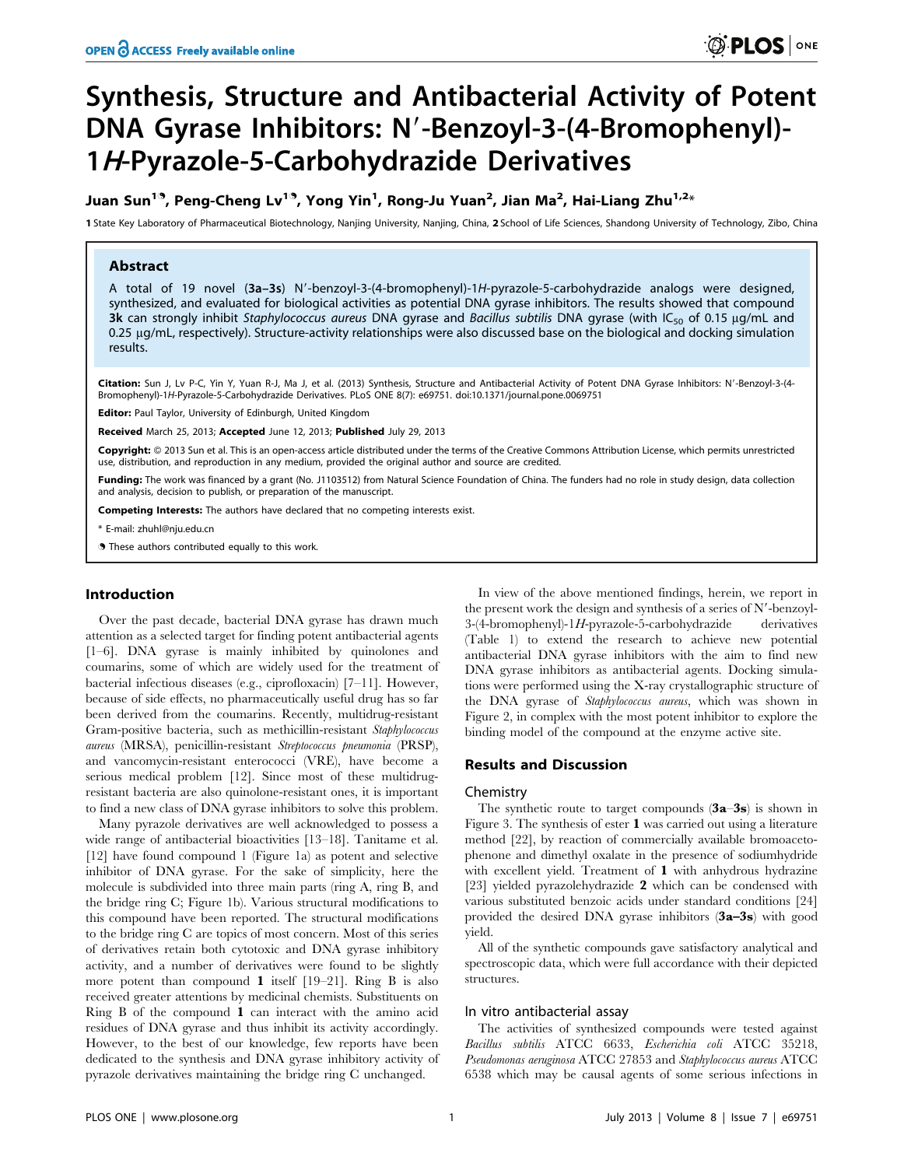# Synthesis, Structure and Antibacterial Activity of Potent DNA Gyrase Inhibitors: N'-Benzoyl-3-(4-Bromophenyl)-1H-Pyrazole-5-Carbohydrazide Derivatives

## Juan Sun<sup>19</sup>, Peng-Cheng Lv<sup>19</sup>, Yong Yin<sup>1</sup>, Rong-Ju Yuan<sup>2</sup>, Jian Ma<sup>2</sup>, Hai-Liang Zhu<sup>1,2</sup>\*

1 State Key Laboratory of Pharmaceutical Biotechnology, Nanjing University, Nanjing, China, 2 School of Life Sciences, Shandong University of Technology, Zibo, China

## Abstract

A total of 19 novel (3a-3s) N'-benzoyl-3-(4-bromophenyl)-1H-pyrazole-5-carbohydrazide analogs were designed, synthesized, and evaluated for biological activities as potential DNA gyrase inhibitors. The results showed that compound 3k can strongly inhibit Staphylococcus aureus DNA gyrase and Bacillus subtilis DNA gyrase (with IC<sub>50</sub> of 0.15 µg/mL and 0.25 µg/mL, respectively). Structure-activity relationships were also discussed base on the biological and docking simulation results.

Citation: Sun J, Lv P-C, Yin Y, Yuan R-J, Ma J, et al. (2013) Synthesis, Structure and Antibacterial Activity of Potent DNA Gyrase Inhibitors: N'-Benzoyl-3-(4-Bromophenyl)-1H-Pyrazole-5-Carbohydrazide Derivatives. PLoS ONE 8(7): e69751. doi:10.1371/journal.pone.0069751

Editor: Paul Taylor, University of Edinburgh, United Kingdom

Received March 25, 2013; Accepted June 12, 2013; Published July 29, 2013

Copyright: © 2013 Sun et al. This is an open-access article distributed under the terms of the Creative Commons Attribution License, which permits unrestricted use, distribution, and reproduction in any medium, provided the original author and source are credited.

Funding: The work was financed by a grant (No. J1103512) from Natural Science Foundation of China. The funders had no role in study design, data collection and analysis, decision to publish, or preparation of the manuscript.

Competing Interests: The authors have declared that no competing interests exist.

\* E-mail: zhuhl@nju.edu.cn

. These authors contributed equally to this work.

## Introduction

Over the past decade, bacterial DNA gyrase has drawn much attention as a selected target for finding potent antibacterial agents [1–6]. DNA gyrase is mainly inhibited by quinolones and coumarins, some of which are widely used for the treatment of bacterial infectious diseases (e.g., ciprofloxacin) [7–11]. However, because of side effects, no pharmaceutically useful drug has so far been derived from the coumarins. Recently, multidrug-resistant Gram-positive bacteria, such as methicillin-resistant Staphylococcus aureus (MRSA), penicillin-resistant Streptococcus pneumonia (PRSP), and vancomycin-resistant enterococci (VRE), have become a serious medical problem [12]. Since most of these multidrugresistant bacteria are also quinolone-resistant ones, it is important to find a new class of DNA gyrase inhibitors to solve this problem.

Many pyrazole derivatives are well acknowledged to possess a wide range of antibacterial bioactivities [13–18]. Tanitame et al. [12] have found compound 1 (Figure 1a) as potent and selective inhibitor of DNA gyrase. For the sake of simplicity, here the molecule is subdivided into three main parts (ring A, ring B, and the bridge ring C; Figure 1b). Various structural modifications to this compound have been reported. The structural modifications to the bridge ring C are topics of most concern. Most of this series of derivatives retain both cytotoxic and DNA gyrase inhibitory activity, and a number of derivatives were found to be slightly more potent than compound 1 itself [19-21]. Ring B is also received greater attentions by medicinal chemists. Substituents on Ring B of the compound 1 can interact with the amino acid residues of DNA gyrase and thus inhibit its activity accordingly. However, to the best of our knowledge, few reports have been dedicated to the synthesis and DNA gyrase inhibitory activity of pyrazole derivatives maintaining the bridge ring C unchanged.

In view of the above mentioned findings, herein, we report in the present work the design and synthesis of a series of  $N'$ -benzoyl-3-(4-bromophenyl)-1H-pyrazole-5-carbohydrazide derivatives (Table 1) to extend the research to achieve new potential antibacterial DNA gyrase inhibitors with the aim to find new DNA gyrase inhibitors as antibacterial agents. Docking simulations were performed using the X-ray crystallographic structure of the DNA gyrase of Staphylococcus aureus, which was shown in Figure 2, in complex with the most potent inhibitor to explore the binding model of the compound at the enzyme active site.

## Results and Discussion

#### Chemistry

The synthetic route to target compounds  $(3a-3s)$  is shown in Figure 3. The synthesis of ester 1 was carried out using a literature method [22], by reaction of commercially available bromoacetophenone and dimethyl oxalate in the presence of sodiumhydride with excellent yield. Treatment of 1 with anhydrous hydrazine [23] yielded pyrazolehydrazide 2 which can be condensed with various substituted benzoic acids under standard conditions [24] provided the desired DNA gyrase inhibitors (3a–3s) with good yield.

All of the synthetic compounds gave satisfactory analytical and spectroscopic data, which were full accordance with their depicted structures.

## In vitro antibacterial assay

The activities of synthesized compounds were tested against Bacillus subtilis ATCC 6633, Escherichia coli ATCC 35218, Pseudomonas aeruginosa ATCC 27853 and Staphylococcus aureus ATCC 6538 which may be causal agents of some serious infections in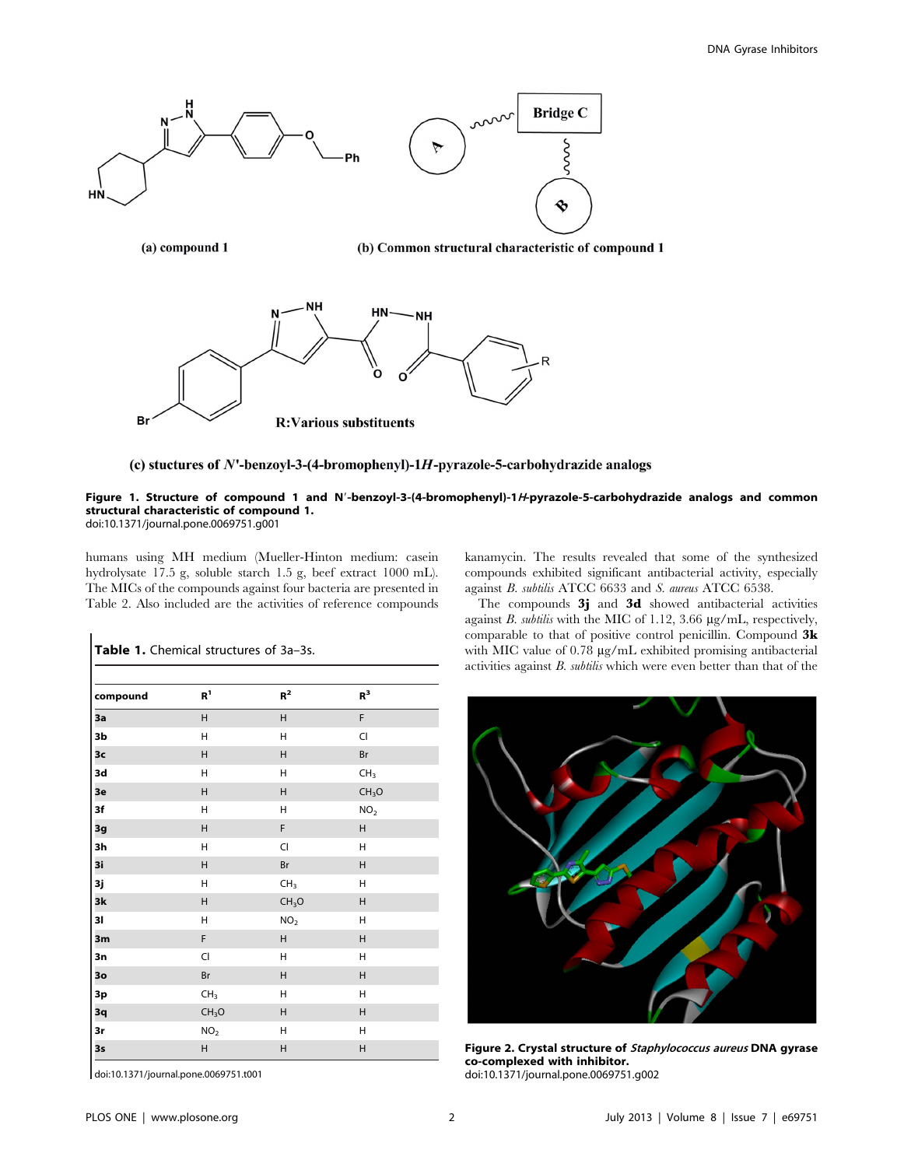

#### (c) stuctures of  $N$ <sup>-</sup>benzoyl-3-(4-bromophenyl)-1H-pyrazole-5-carbohydrazide analogs

#### Figure 1. Structure of compound 1 and N'-benzoyl-3-(4-bromophenyl)-1H-pyrazole-5-carbohydrazide analogs and common structural characteristic of compound 1. doi:10.1371/journal.pone.0069751.g001

humans using MH medium (Mueller-Hinton medium: casein hydrolysate 17.5 g, soluble starch 1.5 g, beef extract 1000 mL). The MICs of the compounds against four bacteria are presented in Table 2. Also included are the activities of reference compounds

| compound | R <sup>1</sup>    | $R^2$             | $R^3$             |  |
|----------|-------------------|-------------------|-------------------|--|
| 3a       | $\sf H$           | $\sf H$           | F                 |  |
| 3b       | Н                 | Η                 | CI                |  |
| 3c       | Н                 | $\sf H$           | Br                |  |
| 3d       | Η                 | H                 | CH <sub>3</sub>   |  |
| 3e       | $\sf H$           | $\sf H$           | CH <sub>3</sub> O |  |
| 3f       | Н                 | Η                 | NO <sub>2</sub>   |  |
| 3g       | Н                 | F                 | Н                 |  |
| 3h       | Η                 | CI                | Η                 |  |
| 3i       | Н                 | Br                | Н                 |  |
| 3j       | Н                 | CH <sub>3</sub>   | Н                 |  |
| 3k       | Н                 | CH <sub>3</sub> O | Н                 |  |
| 31       | Н                 | NO <sub>2</sub>   | Н                 |  |
| 3m       | $\mathsf F$       | $\sf H$           | Н                 |  |
| 3n       | $\overline{C}$    | Η                 | Н                 |  |
| 30       | Br                | $\sf H$           | Н                 |  |
| 3p       | CH <sub>3</sub>   | Н                 | Н                 |  |
| 3q       | CH <sub>3</sub> O | $\sf H$           | Н                 |  |
| 3r       | NO <sub>2</sub>   | Н                 | Н                 |  |
| 3s       | Н                 | Н                 | H                 |  |

Table 1. Chemical structures of 3a-3s.

kanamycin. The results revealed that some of the synthesized compounds exhibited significant antibacterial activity, especially against B. subtilis ATCC 6633 and S. aureus ATCC 6538.

The compounds 3j and 3d showed antibacterial activities against  $B$ . subtilis with the MIC of 1.12, 3.66  $\mu$ g/mL, respectively, comparable to that of positive control penicillin. Compound 3k with MIC value of 0.78 µg/mL exhibited promising antibacterial activities against B. subtilis which were even better than that of the



Figure 2. Crystal structure of Staphylococcus aureus DNA gyrase co-complexed with inhibitor. doi:10.1371/journal.pone.0069751.g002

doi:10.1371/journal.pone.0069751.t001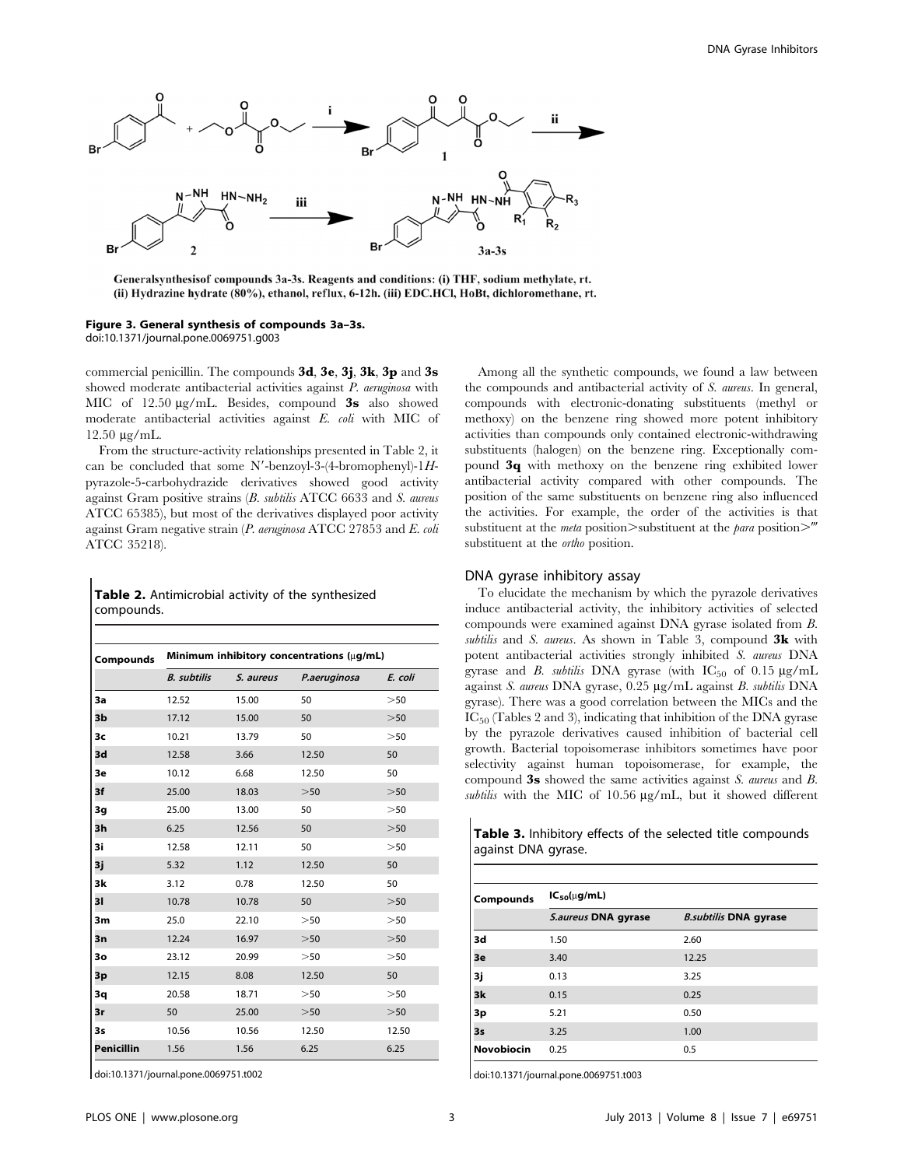

Generalsynthesisof compounds 3a-3s. Reagents and conditions: (i) THF, sodium methylate, rt. (ii) Hydrazine hydrate (80%), ethanol, reflux, 6-12h. (iii) EDC.HCl, HoBt, dichloromethane, rt.

Figure 3. General synthesis of compounds 3a–3s. doi:10.1371/journal.pone.0069751.g003

commercial penicillin. The compounds 3d, 3e, 3j, 3k, 3p and 3s showed moderate antibacterial activities against P. aeruginosa with MIC of 12.50  $\mu$ g/mL. Besides, compound 3s also showed moderate antibacterial activities against E. coli with MIC of 12.50 mg/mL.

From the structure-activity relationships presented in Table 2, it can be concluded that some N'-benzoyl-3-(4-bromophenyl)-1 $H$ pyrazole-5-carbohydrazide derivatives showed good activity against Gram positive strains (B. subtilis ATCC 6633 and S. aureus ATCC 65385), but most of the derivatives displayed poor activity against Gram negative strain  $(P$ . aeruginosa ATCC 27853 and E. coli ATCC 35218).

|            | <b>Table 2.</b> Antimicrobial activity of the synthesized |  |  |
|------------|-----------------------------------------------------------|--|--|
| compounds. |                                                           |  |  |

| Compounds         | Minimum inhibitory concentrations (ug/mL) |           |              |           |
|-------------------|-------------------------------------------|-----------|--------------|-----------|
|                   | <b>B.</b> subtilis                        | S. aureus | P.aeruginosa | E. coli   |
| 3a                | 12.52                                     | 15.00     | 50           | >50       |
| 3 <sub>b</sub>    | 17.12                                     | 15.00     | 50           | >50       |
| 3 <sub>c</sub>    | 10.21                                     | 13.79     | 50           | $>50$     |
| 3d                | 12.58                                     | 3.66      | 12.50        | 50        |
| 3e                | 10.12                                     | 6.68      | 12.50        | 50        |
| 3f                | 25.00                                     | 18.03     | $>50$        | $>50$     |
| 3g                | 25.00                                     | 13.00     | 50           | >50       |
| 3h                | 6.25                                      | 12.56     | 50           | $>\!\!50$ |
| 3i                | 12.58                                     | 12.11     | 50           | >50       |
| 3j                | 5.32                                      | 1.12      | 12.50        | 50        |
| 3k                | 3.12                                      | 0.78      | 12.50        | 50        |
| 31                | 10.78                                     | 10.78     | 50           | $>50$     |
| 3m                | 25.0                                      | 22.10     | >50          | >50       |
| 3n                | 12.24                                     | 16.97     | >50          | >50       |
| 3 <sub>o</sub>    | 23.12                                     | 20.99     | >50          | $>50$     |
| 3p                | 12.15                                     | 8.08      | 12.50        | 50        |
| 3q                | 20.58                                     | 18.71     | $>50$        | >50       |
| 3r                | 50                                        | 25.00     | $>\!\!50$    | $>\!\!50$ |
| 3s                | 10.56                                     | 10.56     | 12.50        | 12.50     |
| <b>Penicillin</b> | 1.56                                      | 1.56      | 6.25         | 6.25      |
|                   |                                           |           |              |           |

doi:10.1371/journal.pone.0069751.t002

Among all the synthetic compounds, we found a law between the compounds and antibacterial activity of S. aureus. In general, compounds with electronic-donating substituents (methyl or methoxy) on the benzene ring showed more potent inhibitory activities than compounds only contained electronic-withdrawing substituents (halogen) on the benzene ring. Exceptionally compound 3q with methoxy on the benzene ring exhibited lower antibacterial activity compared with other compounds. The position of the same substituents on benzene ring also influenced the activities. For example, the order of the activities is that substituent at the *meta* position $>$ substituent at the *para* position $>$ <sup>*'''*</sup> substituent at the *ortho* position.

#### DNA gyrase inhibitory assay

To elucidate the mechanism by which the pyrazole derivatives induce antibacterial activity, the inhibitory activities of selected compounds were examined against DNA gyrase isolated from B. subtilis and S. aureus. As shown in Table 3, compound  $3k$  with potent antibacterial activities strongly inhibited S. aureus DNA gyrase and B. subtilis DNA gyrase (with  $IC_{50}$  of 0.15  $\mu$ g/mL against S. aureus DNA gyrase, 0.25 µg/mL against B. subtilis DNA gyrase). There was a good correlation between the MICs and the  $IC_{50}$  (Tables 2 and 3), indicating that inhibition of the DNA gyrase by the pyrazole derivatives caused inhibition of bacterial cell growth. Bacterial topoisomerase inhibitors sometimes have poor selectivity against human topoisomerase, for example, the compound 3s showed the same activities against S. aureus and B. subtilis with the MIC of 10.56  $\mu$ g/mL, but it showed different

Table 3. Inhibitory effects of the selected title compounds against DNA gyrase.

| <b>Compounds</b> | $IC_{50}(\mu g/mL)$ |                              |  |
|------------------|---------------------|------------------------------|--|
|                  | S.aureus DNA gyrase | <b>B.subtilis DNA gyrase</b> |  |
| 3d               | 1.50                | 2.60                         |  |
| 3e               | 3.40                | 12.25                        |  |
| 3j               | 0.13                | 3.25                         |  |
| 3k               | 0.15                | 0.25                         |  |
| 3p               | 5.21                | 0.50                         |  |
| 3s               | 3.25                | 1.00                         |  |
| Novobiocin       | 0.25                | 0.5                          |  |

doi:10.1371/journal.pone.0069751.t003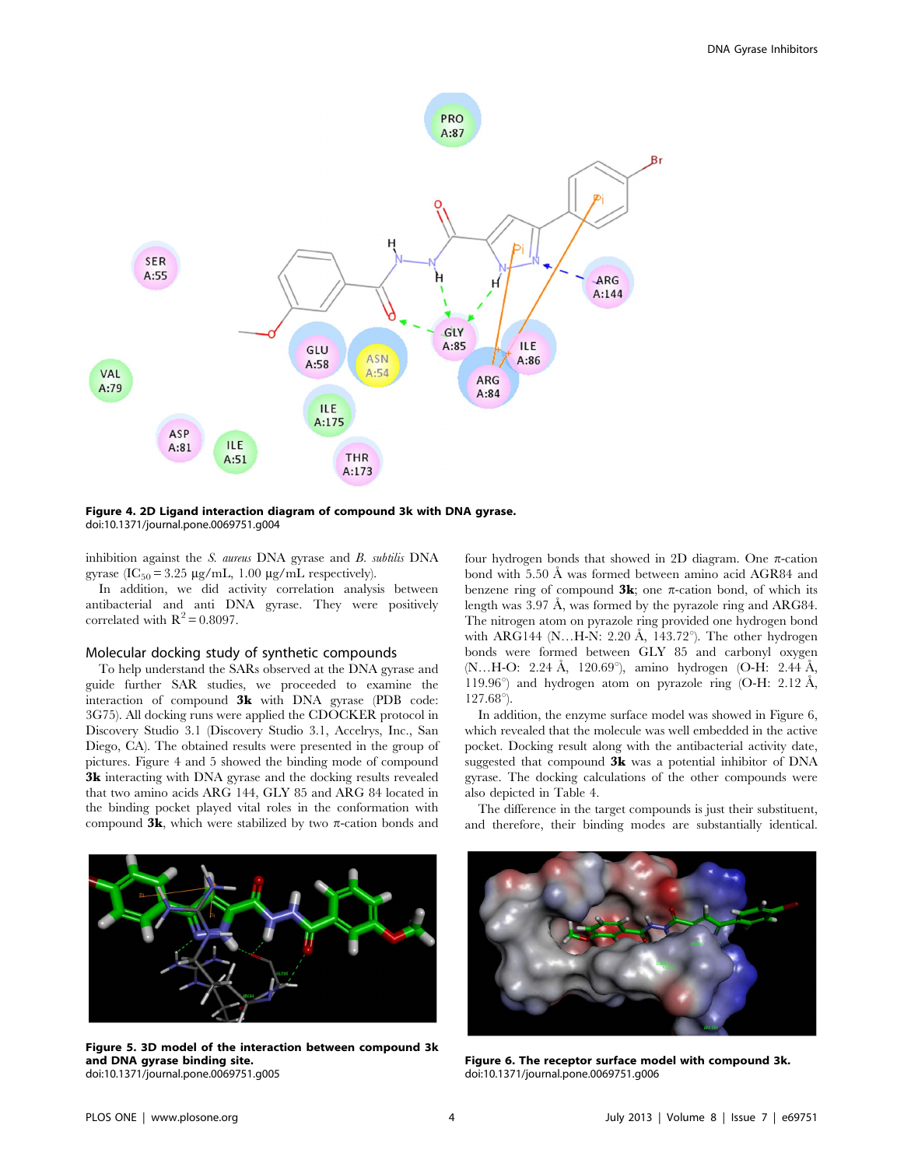

Figure 4. 2D Ligand interaction diagram of compound 3k with DNA gyrase. doi:10.1371/journal.pone.0069751.g004

inhibition against the S. aureus DNA gyrase and B. subtilis DNA gyrase  $(IC_{50} = 3.25 \mu g/mL, 1.00 \mu g/mL$  respectively).

In addition, we did activity correlation analysis between antibacterial and anti DNA gyrase. They were positively correlated with  $R^2 = 0.8097$ .

#### Molecular docking study of synthetic compounds

To help understand the SARs observed at the DNA gyrase and guide further SAR studies, we proceeded to examine the interaction of compound 3k with DNA gyrase (PDB code: 3G75). All docking runs were applied the CDOCKER protocol in Discovery Studio 3.1 (Discovery Studio 3.1, Accelrys, Inc., San Diego, CA). The obtained results were presented in the group of pictures. Figure 4 and 5 showed the binding mode of compound 3k interacting with DNA gyrase and the docking results revealed that two amino acids ARG 144, GLY 85 and ARG 84 located in the binding pocket played vital roles in the conformation with compound  $3k$ , which were stabilized by two  $\pi$ -cation bonds and

four hydrogen bonds that showed in 2D diagram. One  $\pi$ -cation bond with 5.50 Å was formed between amino acid AGR84 and benzene ring of compound  $3k$ ; one  $\pi$ -cation bond, of which its length was 3.97 Å, was formed by the pyrazole ring and ARG84. The nitrogen atom on pyrazole ring provided one hydrogen bond with ARG144 (N...H-N: 2.20 Å, 143.72 $^{\circ}$ ). The other hydrogen bonds were formed between GLY 85 and carbonyl oxygen (N…H-O: 2.24 Å, 120.69°), amino hydrogen (O-H: 2.44 Å, 119.96 $^{\circ}$ ) and hydrogen atom on pyrazole ring (O-H: 2.12 Å,  $127.68^{\circ}$ ).

In addition, the enzyme surface model was showed in Figure 6, which revealed that the molecule was well embedded in the active pocket. Docking result along with the antibacterial activity date, suggested that compound 3k was a potential inhibitor of DNA gyrase. The docking calculations of the other compounds were also depicted in Table 4.

The difference in the target compounds is just their substituent, and therefore, their binding modes are substantially identical.



Figure 5. 3D model of the interaction between compound 3k and DNA gyrase binding site. doi:10.1371/journal.pone.0069751.g005



Figure 6. The receptor surface model with compound 3k. doi:10.1371/journal.pone.0069751.g006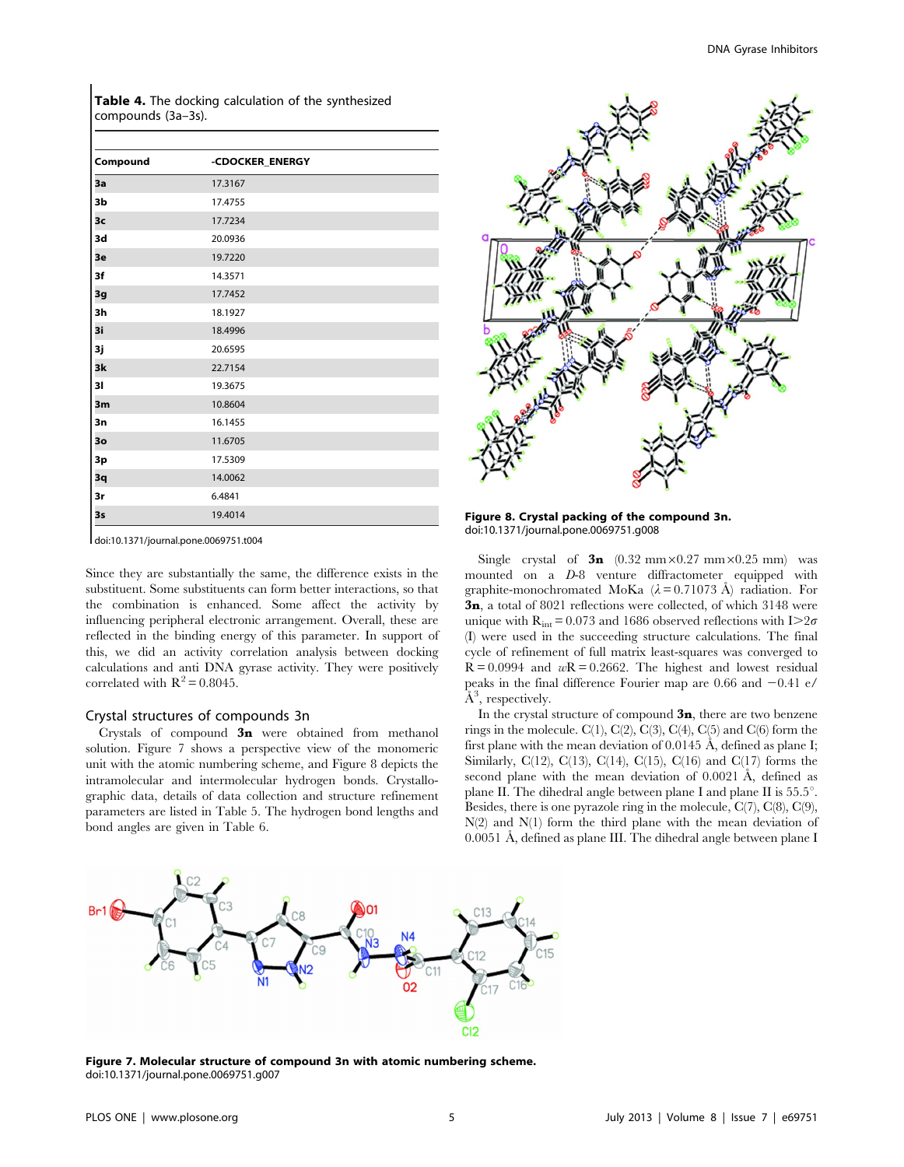Table 4. The docking calculation of the synthesized compounds (3a–3s).

doi:10.1371/journal.pone.0069751.t004

Since they are substantially the same, the difference exists in the substituent. Some substituents can form better interactions, so that the combination is enhanced. Some affect the activity by influencing peripheral electronic arrangement. Overall, these are reflected in the binding energy of this parameter. In support of this, we did an activity correlation analysis between docking calculations and anti DNA gyrase activity. They were positively correlated with  $R^2 = 0.8045$ .

#### Crystal structures of compounds 3n

Crystals of compound 3n were obtained from methanol solution. Figure 7 shows a perspective view of the monomeric unit with the atomic numbering scheme, and Figure 8 depicts the intramolecular and intermolecular hydrogen bonds. Crystallographic data, details of data collection and structure refinement parameters are listed in Table 5. The hydrogen bond lengths and bond angles are given in Table 6.



Figure 8. Crystal packing of the compound 3n. doi:10.1371/journal.pone.0069751.g008

Single crystal of  $3n$  (0.32 mm×0.27 mm×0.25 mm) was mounted on a D-8 venture diffractometer equipped with graphite-monochromated MoKa ( $\lambda = 0.71073$  Å) radiation. For 3n, a total of 8021 reflections were collected, of which 3148 were unique with  $R_{int} = 0.073$  and 1686 observed reflections with I $>2\sigma$ (I) were used in the succeeding structure calculations. The final cycle of refinement of full matrix least-squares was converged to  $R = 0.0994$  and  $wR = 0.2662$ . The highest and lowest residual peaks in the final difference Fourier map are 0.66 and  $-0.41$  e/  $\rm \AA^3$ , respectively.

In the crystal structure of compound  $3n$ , there are two benzene rings in the molecule.  $C(1)$ ,  $C(2)$ ,  $C(3)$ ,  $C(4)$ ,  $C(5)$  and  $C(6)$  form the first plane with the mean deviation of  $0.0145$  Å, defined as plane I; Similarly, C(12), C(13), C(14), C(15), C(16) and C(17) forms the second plane with the mean deviation of  $0.0021$  Å, defined as plane II. The dihedral angle between plane I and plane II is  $55.5^{\circ}$ . Besides, there is one pyrazole ring in the molecule, C(7), C(8), C(9),  $N(2)$  and  $N(1)$  form the third plane with the mean deviation of 0.0051 Å, defined as plane III. The dihedral angle between plane I



Figure 7. Molecular structure of compound 3n with atomic numbering scheme. doi:10.1371/journal.pone.0069751.g007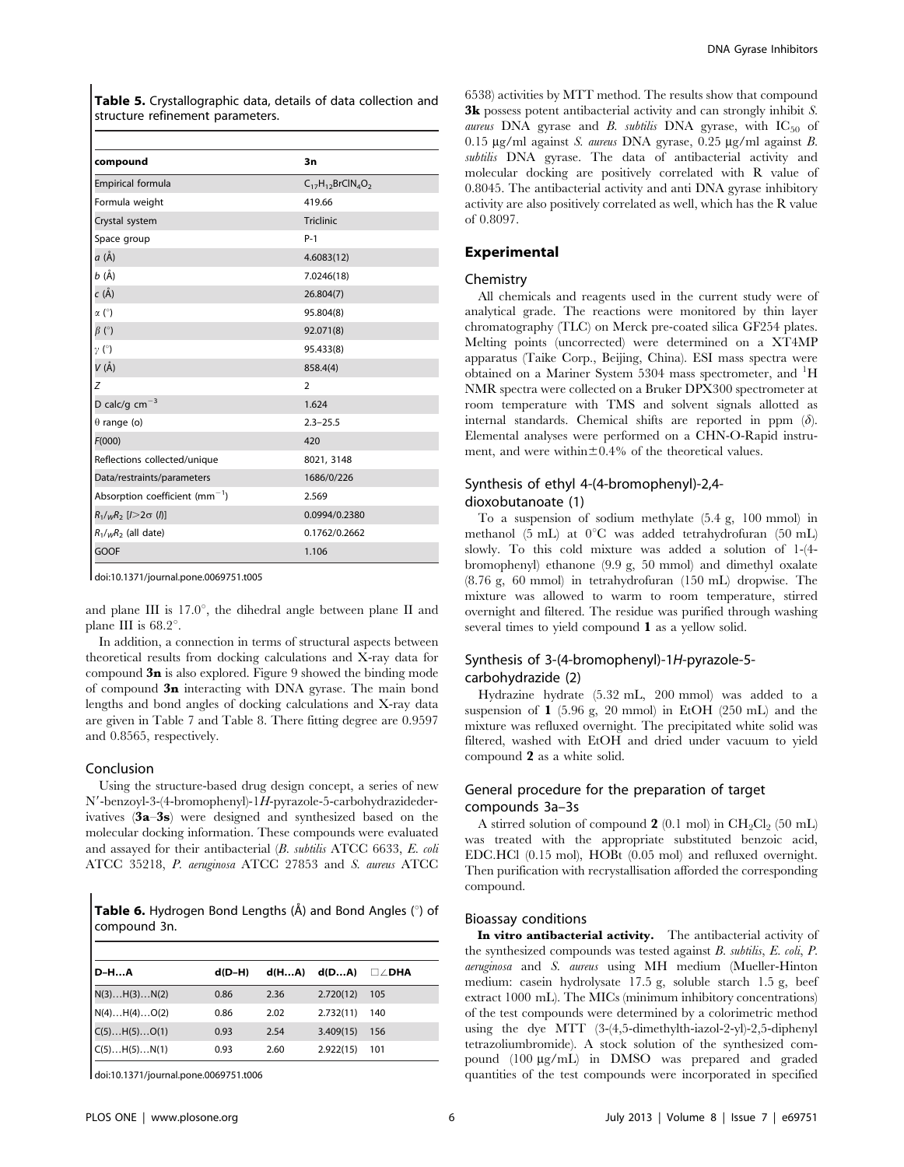Table 5. Crystallographic data, details of data collection and structure refinement parameters.

| compound                             | 3n                       |
|--------------------------------------|--------------------------|
| Empirical formula                    | $C_{17}H_{12}BrClN_4O_2$ |
| Formula weight                       | 419.66                   |
| Crystal system                       | Triclinic                |
| Space group                          | $P-1$                    |
| a (Å)                                | 4.6083(12)               |
| b (Å)                                | 7.0246(18)               |
| c (Å)                                | 26.804(7)                |
| $\alpha$ (°)                         | 95.804(8)                |
| $\beta$ (°)                          | 92.071(8)                |
| $\gamma$ (°)                         | 95.433(8)                |
| V (Å)                                | 858.4(4)                 |
| Z                                    | $\overline{2}$           |
| D calc/g $cm^{-3}$                   | 1.624                    |
| $\theta$ range (o)                   | $2.3 - 25.5$             |
| F(000)                               | 420                      |
| Reflections collected/unique         | 8021, 3148               |
| Data/restraints/parameters           | 1686/0/226               |
| Absorption coefficient ( $mm^{-1}$ ) | 2.569                    |
| $R_1/\sqrt{R_2}$ [ $I>2\sigma$ (I)]  | 0.0994/0.2380            |
| $R_1/wR_2$ (all date)                | 0.1762/0.2662            |
| GOOF                                 | 1.106                    |

doi:10.1371/journal.pone.0069751.t005

and plane III is  $17.0^{\circ}$ , the dihedral angle between plane II and plane III is  $68.2^\circ$ .

In addition, a connection in terms of structural aspects between theoretical results from docking calculations and X-ray data for compound  $3n$  is also explored. Figure 9 showed the binding mode of compound 3n interacting with DNA gyrase. The main bond lengths and bond angles of docking calculations and X-ray data are given in Table 7 and Table 8. There fitting degree are 0.9597 and 0.8565, respectively.

#### Conclusion

Using the structure-based drug design concept, a series of new  $N'$ -benzoyl-3-(4-bromophenyl)-1H-pyrazole-5-carbohydrazidederivatives (3a–3s) were designed and synthesized based on the molecular docking information. These compounds were evaluated and assayed for their antibacterial (B. subtilis ATCC 6633, E. coli ATCC 35218, P. aeruginosa ATCC 27853 and S. aureus ATCC

**Table 6.** Hydrogen Bond Lengths  $(A)$  and Bond Angles  $(°)$  of compound 3n.

| <b>D-HA</b>  | $d(D-H)$ | d(HA) | d(DA)     | $\square \angle$ dha |
|--------------|----------|-------|-----------|----------------------|
| N(3)H(3)N(2) | 0.86     | 2.36  | 2.720(12) | 105                  |
| N(4)H(4)O(2) | 0.86     | 2.02  | 2.732(11) | 140                  |
| C(5)H(5)O(1) | 0.93     | 2.54  | 3.409(15) | 156                  |
| C(5)H(5)N(1) | 0.93     | 2.60  | 2.922(15) | 101                  |

doi:10.1371/journal.pone.0069751.t006

6538) activities by MTT method. The results show that compound **3k** possess potent antibacterial activity and can strongly inhibit S. aureus DNA gyrase and B. subtilis DNA gyrase, with  $IC_{50}$  of  $0.15 \mu$ g/ml against S. aureus DNA gyrase,  $0.25 \mu$ g/ml against B. subtilis DNA gyrase. The data of antibacterial activity and molecular docking are positively correlated with R value of 0.8045. The antibacterial activity and anti DNA gyrase inhibitory activity are also positively correlated as well, which has the R value of 0.8097.

## Experimental

#### Chemistry

All chemicals and reagents used in the current study were of analytical grade. The reactions were monitored by thin layer chromatography (TLC) on Merck pre-coated silica GF254 plates. Melting points (uncorrected) were determined on a XT4MP apparatus (Taike Corp., Beijing, China). ESI mass spectra were obtained on a Mariner System 5304 mass spectrometer, and <sup>1</sup>H NMR spectra were collected on a Bruker DPX300 spectrometer at room temperature with TMS and solvent signals allotted as internal standards. Chemical shifts are reported in ppm  $(\delta)$ . Elemental analyses were performed on a CHN-O-Rapid instrument, and were within $\pm 0.4\%$  of the theoretical values.

## Synthesis of ethyl 4-(4-bromophenyl)-2,4 dioxobutanoate (1)

To a suspension of sodium methylate (5.4 g, 100 mmol) in methanol (5 mL) at  $0^{\circ}$ C was added tetrahydrofuran (50 mL) slowly. To this cold mixture was added a solution of 1-(4 bromophenyl) ethanone (9.9 g, 50 mmol) and dimethyl oxalate (8.76 g, 60 mmol) in tetrahydrofuran (150 mL) dropwise. The mixture was allowed to warm to room temperature, stirred overnight and filtered. The residue was purified through washing several times to yield compound 1 as a yellow solid.

## Synthesis of 3-(4-bromophenyl)-1H-pyrazole-5 carbohydrazide (2)

Hydrazine hydrate (5.32 mL, 200 mmol) was added to a suspension of  $\bf{1}$  (5.96 g, 20 mmol) in EtOH (250 mL) and the mixture was refluxed overnight. The precipitated white solid was filtered, washed with EtOH and dried under vacuum to yield compound 2 as a white solid.

## General procedure for the preparation of target compounds 3a–3s

A stirred solution of compound 2 (0.1 mol) in  $CH_2Cl_2$  (50 mL) was treated with the appropriate substituted benzoic acid, EDC.HCl (0.15 mol), HOBt (0.05 mol) and refluxed overnight. Then purification with recrystallisation afforded the corresponding compound.

#### Bioassay conditions

In vitro antibacterial activity. The antibacterial activity of the synthesized compounds was tested against B. subtilis, E. coli, P. aeruginosa and S. aureus using MH medium (Mueller-Hinton medium: casein hydrolysate 17.5 g, soluble starch 1.5 g, beef extract 1000 mL). The MICs (minimum inhibitory concentrations) of the test compounds were determined by a colorimetric method using the dye MTT (3-(4,5-dimethylth-iazol-2-yl)-2,5-diphenyl tetrazoliumbromide). A stock solution of the synthesized compound (100 mg/mL) in DMSO was prepared and graded quantities of the test compounds were incorporated in specified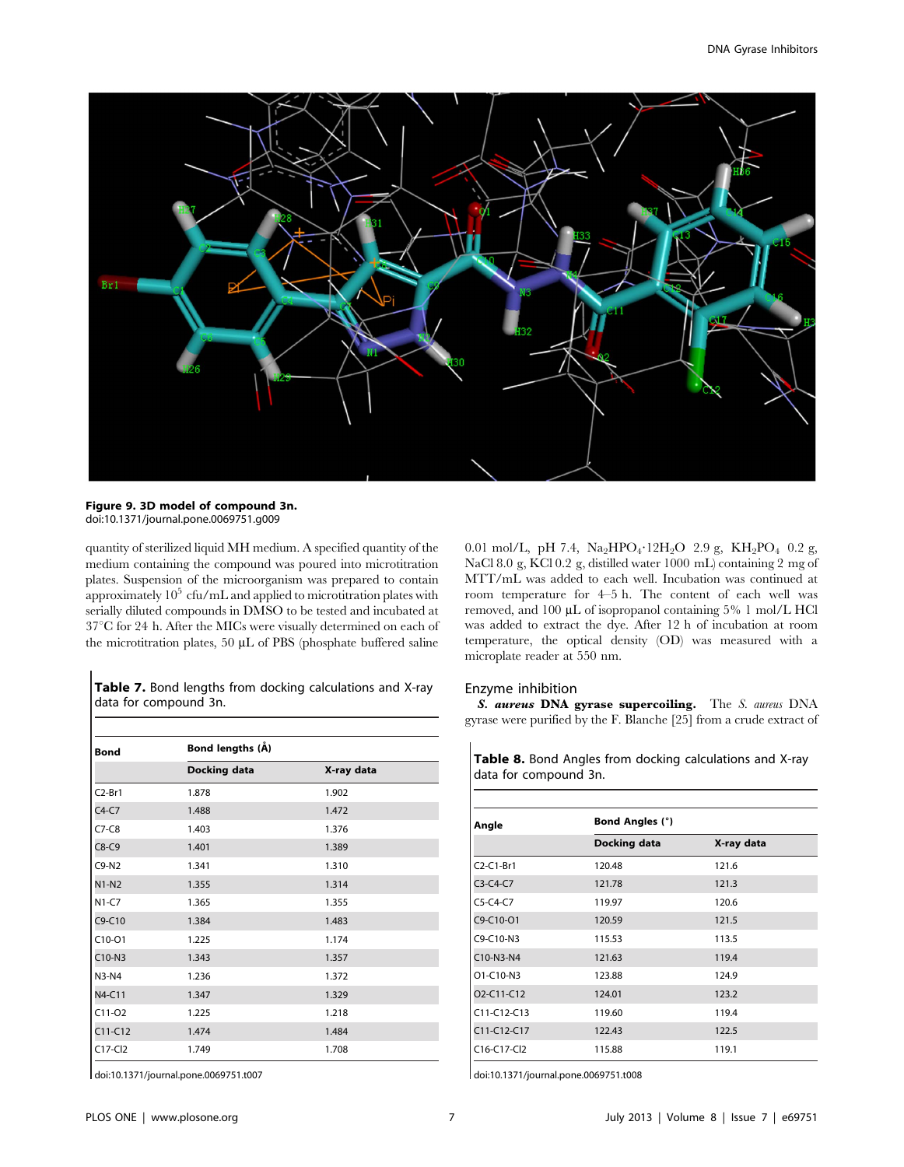

#### Figure 9. 3D model of compound 3n. doi:10.1371/journal.pone.0069751.g009

quantity of sterilized liquid MH medium. A specified quantity of the medium containing the compound was poured into microtitration plates. Suspension of the microorganism was prepared to contain approximately  $10^5$  cfu/mL and applied to microtitration plates with serially diluted compounds in DMSO to be tested and incubated at  $37^{\circ}$ C for 24 h. After the MICs were visually determined on each of the microtitration plates, 50 µL of PBS (phosphate buffered saline

Table 7. Bond lengths from docking calculations and X-ray data for compound 3n.

| <b>Bond</b> | Bond lengths (Å)    |            |  |  |
|-------------|---------------------|------------|--|--|
|             | <b>Docking data</b> | X-ray data |  |  |
| $C2-Br1$    | 1.878               | 1.902      |  |  |
| $C4-C7$     | 1.488               | 1.472      |  |  |
| $C7-C8$     | 1.403               | 1.376      |  |  |
| $C8-C9$     | 1.401               | 1.389      |  |  |
| $C9-N2$     | 1.341               | 1.310      |  |  |
| $N1-N2$     | 1.355               | 1.314      |  |  |
| $N1-C7$     | 1.365               | 1.355      |  |  |
| $C9-C10$    | 1.384               | 1.483      |  |  |
| $C10-O1$    | 1.225               | 1.174      |  |  |
| C10-N3      | 1.343               | 1.357      |  |  |
| $N3-N4$     | 1.236               | 1.372      |  |  |
| N4-C11      | 1.347               | 1.329      |  |  |
| $C11-O2$    | 1.225               | 1.218      |  |  |
| $C11-C12$   | 1.474               | 1.484      |  |  |
| $C17-CI2$   | 1.749               | 1.708      |  |  |

doi:10.1371/journal.pone.0069751.t007

0.01 mol/L, pH 7.4,  $Na<sub>2</sub>HPO<sub>4</sub>$  · 12H<sub>2</sub>O 2.9 g, KH<sub>2</sub>PO<sub>4</sub> 0.2 g, NaCl 8.0 g, KCl 0.2 g, distilled water 1000 mL) containing 2 mg of MTT/mL was added to each well. Incubation was continued at room temperature for 4–5 h. The content of each well was removed, and 100 µL of isopropanol containing 5% 1 mol/L HCl was added to extract the dye. After 12 h of incubation at room temperature, the optical density (OD) was measured with a microplate reader at 550 nm.

#### Enzyme inhibition

S. aureus DNA gyrase supercoiling. The S. aureus DNA gyrase were purified by the F. Blanche [25] from a crude extract of

Table 8. Bond Angles from docking calculations and X-ray data for compound 3n.

| Angle                                            | <b>Bond Angles (°)</b> |            |  |  |
|--------------------------------------------------|------------------------|------------|--|--|
|                                                  | Docking data           | X-ray data |  |  |
| $C2-C1-Br1$                                      | 120.48                 | 121.6      |  |  |
| $C3-C4-C7$                                       | 121.78                 | 121.3      |  |  |
| $C5-C4-C7$                                       | 119.97                 | 120.6      |  |  |
| $C9 - C10 - O1$                                  | 120.59                 | 121.5      |  |  |
| C9-C10-N3                                        | 115.53                 | 113.5      |  |  |
| $C10-N3-N4$                                      | 121.63                 | 119.4      |  |  |
| $O1 - C10 - N3$                                  | 123.88                 | 124.9      |  |  |
| O <sub>2</sub> -C <sub>11</sub> -C <sub>12</sub> | 124.01                 | 123.2      |  |  |
| C11-C12-C13                                      | 119.60                 | 119.4      |  |  |
| $C11-C12-C17$                                    | 122.43                 | 122.5      |  |  |
| $C16-C17-C12$                                    | 115.88                 | 119.1      |  |  |

doi:10.1371/journal.pone.0069751.t008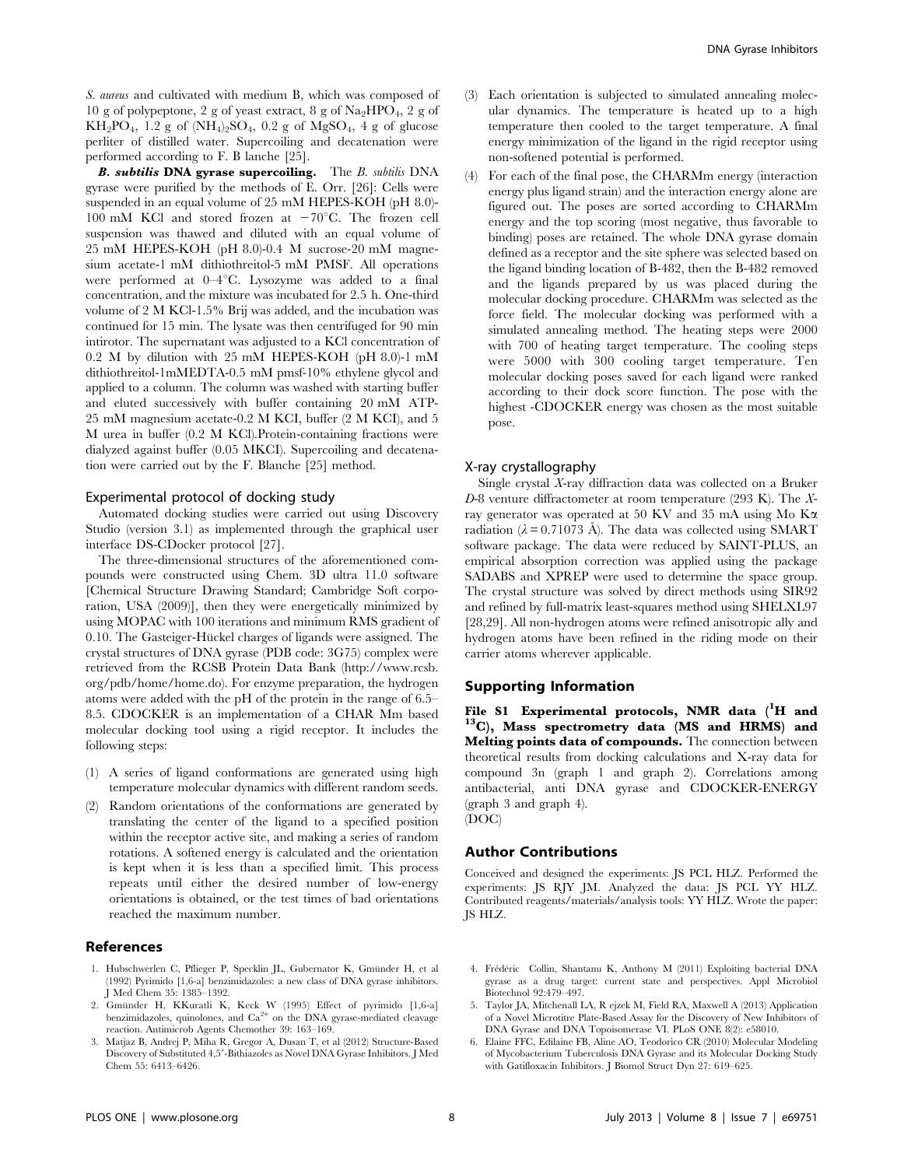S. aureus and cultivated with medium B, which was composed of 10 g of polypeptone, 2 g of yeast extract, 8 g of  $\text{Na}_2\text{HPO}_4$ , 2 g of  $KH_2PO_4$ , 1.2 g of  $(NH_4)_2SO_4$ , 0.2 g of  $MgSO_4$ , 4 g of glucose perliter of distilled water. Supercoiling and decatenation were performed according to F. B lanche [25].

**B. subtilis DNA gyrase supercoiling.** The B. subtilis DNA gyrase were purified by the methods of E. Orr. [26]: Cells were suspended in an equal volume of 25 mM HEPES-KOH (pH 8.0)- 100 mM KCl and stored frozen at  $-70^{\circ}$ C. The frozen cell suspension was thawed and diluted with an equal volume of 25 mM HEPES-KOH (pH 8.0)-0.4 M sucrose-20 mM magnesium acetate-1 mM dithiothreitol-5 mM PMSF. All operations were performed at  $0-4^{\circ}$ C. Lysozyme was added to a final concentration, and the mixture was incubated for 2.5 h. One-third volume of 2 M KCl-1.5% Brij was added, and the incubation was continued for 15 min. The lysate was then centrifuged for 90 min intirotor. The supernatant was adjusted to a KCl concentration of 0.2 M by dilution with 25 mM HEPES-KOH (pH 8.0)-1 mM dithiothreitol-1mMEDTA-0.5 mM pmsf-10% ethylene glycol and applied to a column. The column was washed with starting buffer and eluted successively with buffer containing 20 mM ATP-25 mM magnesium acetate-0.2 M KCI, buffer (2 M KCI), and 5 M urea in buffer (0.2 M KCl).Protein-containing fractions were dialyzed against buffer (0.05 MKCI). Supercoiling and decatenation were carried out by the F. Blanche [25] method.

## Experimental protocol of docking study

Automated docking studies were carried out using Discovery Studio (version 3.1) as implemented through the graphical user interface DS-CDocker protocol [27].

The three-dimensional structures of the aforementioned compounds were constructed using Chem. 3D ultra 11.0 software [Chemical Structure Drawing Standard; Cambridge Soft corporation, USA (2009)], then they were energetically minimized by using MOPAC with 100 iterations and minimum RMS gradient of 0.10. The Gasteiger-Hückel charges of ligands were assigned. The crystal structures of DNA gyrase (PDB code: 3G75) complex were retrieved from the RCSB Protein Data Bank (http://www.rcsb. org/pdb/home/home.do). For enzyme preparation, the hydrogen atoms were added with the pH of the protein in the range of 6.5– 8.5. CDOCKER is an implementation of a CHAR Mm based molecular docking tool using a rigid receptor. It includes the following steps:

- (1) A series of ligand conformations are generated using high temperature molecular dynamics with different random seeds.
- (2) Random orientations of the conformations are generated by translating the center of the ligand to a specified position within the receptor active site, and making a series of random rotations. A softened energy is calculated and the orientation is kept when it is less than a specified limit. This process repeats until either the desired number of low-energy orientations is obtained, or the test times of bad orientations reached the maximum number.

#### References

- 1. Hubschwerlen C, Pflieger P, Specklin JL, Gubernator K, Gmünder H, et al. (1992) Pyrimido [1,6-a] benzimidazoles: a new class of DNA gyrase inhibitors. J Med Chem 35: 1385–1392.
- 2. Gmünder H, KKuratli K, Keck W (1995) Effect of pyrimido [1,6-a] benzimidazoles, quinolones, and  $Ca^{2+}$  on the DNA gyrase-mediated cleavage reaction. Antimicrob Agents Chemother 39: 163–169.
- 3. Matjaz B, Andrej P, Miha R, Gregor A, Dusan T, et al (2012) Structure-Based Discovery of Substituted 4,5'-Bithiazoles as Novel DNA Gyrase Inhibitors. J Med Chem 55: 6413–6426.
- (3) Each orientation is subjected to simulated annealing molecular dynamics. The temperature is heated up to a high temperature then cooled to the target temperature. A final energy minimization of the ligand in the rigid receptor using non-softened potential is performed.
- (4) For each of the final pose, the CHARMm energy (interaction energy plus ligand strain) and the interaction energy alone are figured out. The poses are sorted according to CHARMm energy and the top scoring (most negative, thus favorable to binding) poses are retained. The whole DNA gyrase domain defined as a receptor and the site sphere was selected based on the ligand binding location of B-482, then the B-482 removed and the ligands prepared by us was placed during the molecular docking procedure. CHARMm was selected as the force field. The molecular docking was performed with a simulated annealing method. The heating steps were 2000 with 700 of heating target temperature. The cooling steps were 5000 with 300 cooling target temperature. Ten molecular docking poses saved for each ligand were ranked according to their dock score function. The pose with the highest -CDOCKER energy was chosen as the most suitable pose.

#### X-ray crystallography

Single crystal X-ray diffraction data was collected on a Bruker D-8 venture diffractometer at room temperature (293 K). The Xray generator was operated at 50 KV and 35 mA using Mo Ka radiation ( $\lambda$  = 0.71073 Å). The data was collected using SMART software package. The data were reduced by SAINT-PLUS, an empirical absorption correction was applied using the package SADABS and XPREP were used to determine the space group. The crystal structure was solved by direct methods using SIR92 and refined by full-matrix least-squares method using SHELXL97 [28,29]. All non-hydrogen atoms were refined anisotropic ally and hydrogen atoms have been refined in the riding mode on their carrier atoms wherever applicable.

#### Supporting Information

File S1 Experimental protocols, NMR data  $(^1H$  and  $^{13}$ C), Mass spectrometry data (MS and HRMS) and Melting points data of compounds. The connection between theoretical results from docking calculations and X-ray data for compound 3n (graph 1 and graph 2). Correlations among antibacterial, anti DNA gyrase and CDOCKER-ENERGY (graph 3 and graph 4). (DOC)

#### Author Contributions

Conceived and designed the experiments: JS PCL HLZ. Performed the experiments: JS RJY JM. Analyzed the data: JS PCL YY HLZ. Contributed reagents/materials/analysis tools: YY HLZ. Wrote the paper: JS HLZ.

- 4. Frédéric Collin, Shantanu K, Anthony M (2011) Exploiting bacterial DNA gyrase as a drug target: current state and perspectives. Appl Microbiol Biotechnol 92:479–497.
- 5. Taylor JA, Mitchenall LA, R ejzek M, Field RA, Maxwell A (2013) Application of a Novel Microtitre Plate-Based Assay for the Discovery of New Inhibitors of DNA Gyrase and DNA Topoisomerase VI. PLoS ONE 8(2): e58010.
- 6. Elaine FFC, Edilaine FB, Aline AO, Teodorico CR (2010) Molecular Modeling of Mycobacterium Tuberculosis DNA Gyrase and its Molecular Docking Study with Gatifloxacin Inhibitors. J Biomol Struct Dyn 27: 619–625.